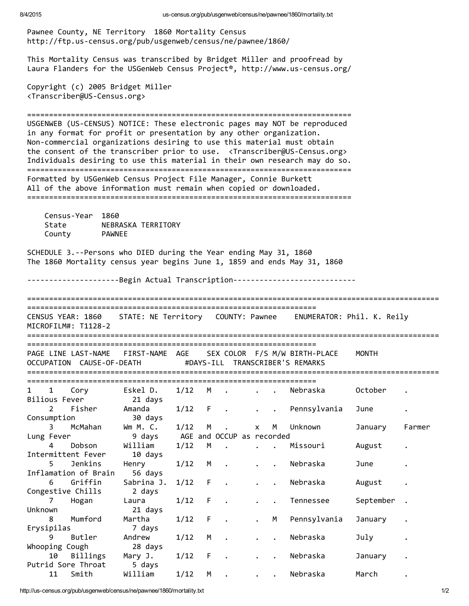Pawnee County, NE Territory 1860 Mortality Census http://ftp.us‐census.org/pub/usgenweb/census/ne/pawnee/1860/ This Mortality Census was transcribed by Bridget Miller and proofread by Laura Flanders for the USGenWeb Census Project®, http://www.us‐census.org/ Copyright (c) 2005 Bridget Miller <Transcriber@US‐Census.org> ========================================================================== USGENWEB (US‐CENSUS) NOTICE: These electronic pages may NOT be reproduced in any format for profit or presentation by any other organization. Non-commercial organizations desiring to use this material must obtain the consent of the transcriber prior to use. <Transcriber@US-Census.org> Individuals desiring to use this material in their own research may do so. ========================================================================== Formatted by USGenWeb Census Project File Manager, Connie Burkett All of the above information must remain when copied or downloaded. ========================================================================== Census‐Year 1860 State **NEBRASKA TERRITORY** County PAWNEE SCHEDULE 3.‐‐Persons who DIED during the Year ending May 31, 1860 The 1860 Mortality census year begins June 1, 1859 and ends May 31, 1860 -----------------------Begin Actual Transcription-------------------------------============================================================================================== ================================================================== CENSUS YEAR: 1860 STATE: NE Territory COUNTY: Pawnee ENUMERATOR: Phil. K. Reily MICROFILM#: T1128‐2 ============================================================================================== ================================================================== PAGE LINE LAST‐NAME FIRST‐NAME AGE SEX COLOR F/S M/W BIRTH‐PLACE MONTH OCCUPATION CAUSE‐OF‐DEATH #DAYS‐ILL TRANSCRIBER'S REMARKS ============================================================================================== ================================================================== 1 1 Cory 6 Eskel D. 1/12 M . . . Nebraska October Bilious Fever 21 days 2 Fisher Amanda 1/12 F . . . Pennsylvania June Consumption 30 days 3 McMahan Wm M. C. 1/12 M . x M Unknown January Farmer Lung Fever 9 days AGE and OCCUP as recorded 4 Dobson William 1/12 M . . . Missouri August . Intermittent Fever 10 days 5 Jenkins Henry 1/12 M . . . Nebraska June . Inflamation of Brain 56 days 6 Griffin Sabrina J. 1/12 F . . . Nebraska August Congestive Chills 2 days 7 Hogan Laura 1/12 F . . . Tennessee September Unknown 21 days 8 Mumford Martha 1/12 F . M Pennsylvania January Erysipilas 7 days 9 Butler Andrew 1/12 M . . Nebraska July . Whooping Cough 28 days 10 Billings Mary J. 1/12 F . . . Nebraska January Putrid Sore Throat 5 days 11 Smith William 1/12 M . . . Nebraska March .

http://us-census.org/pub/usgenweb/census/ne/pawnee/1860/mortality.txt 1/2